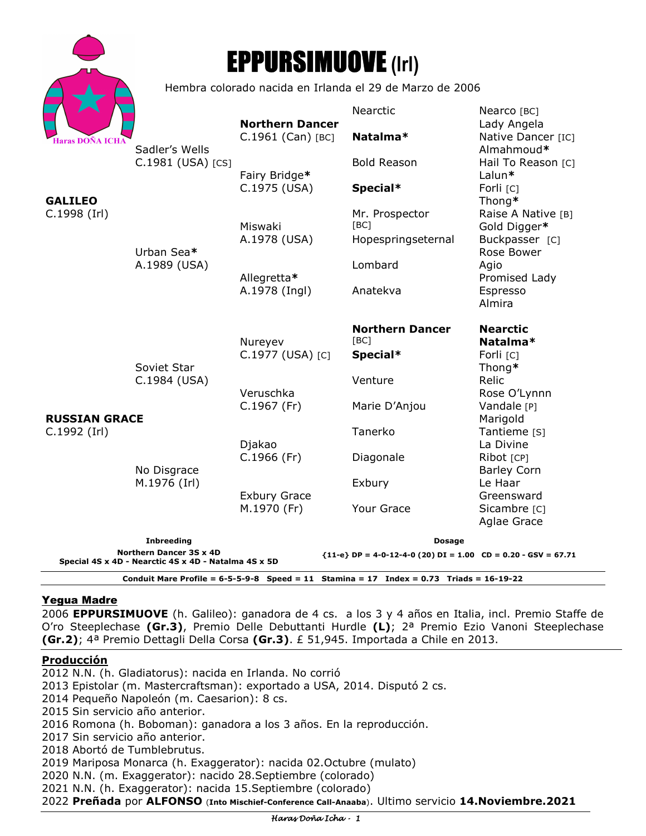

# EPPURSIMUOVE **(Irl)**

Hembra colorado nacida en Irlanda el 29 de Marzo de 2006

|                                                                                                                         |                                              | <b>Northern Dancer</b>               | Nearctic                       | Nearco [BC]<br>Lady Angela         |
|-------------------------------------------------------------------------------------------------------------------------|----------------------------------------------|--------------------------------------|--------------------------------|------------------------------------|
| <b>Haras DOÑA ICHA</b><br><b>GALILEO</b><br>C.1998 (Irl)                                                                | Sadler's Wells<br>C.1981 (USA) [CS]          | $C.1961$ (Can) [BC]<br>Fairy Bridge* | Natalma*                       | Native Dancer [IC]<br>Almahmoud*   |
|                                                                                                                         |                                              |                                      | <b>Bold Reason</b>             | Hail To Reason [C]<br>Lalun*       |
|                                                                                                                         | Urban Sea*<br>A.1989 (USA)                   | C.1975 (USA)<br>Miswaki              | Special*                       | Forli [C]<br>Thong*                |
|                                                                                                                         |                                              |                                      | Mr. Prospector<br>[BC]         | Raise A Native [B]<br>Gold Digger* |
|                                                                                                                         |                                              | A.1978 (USA)<br>Allegretta*          | Hopespringseternal             | Buckpasser [C]<br>Rose Bower       |
|                                                                                                                         |                                              |                                      | Lombard                        | Agio<br>Promised Lady              |
| <b>RUSSIAN GRACE</b><br>C.1992 (Irl)                                                                                    |                                              | A.1978 (Ingl)                        | Anatekva                       | Espresso<br>Almira                 |
|                                                                                                                         |                                              | Nureyev                              | <b>Northern Dancer</b><br>[BC] | <b>Nearctic</b><br>Natalma*        |
|                                                                                                                         | Soviet Star<br>C.1984 (USA)                  | C.1977 (USA) [C]                     | Special*                       | Forli [C]<br>Thong*                |
|                                                                                                                         |                                              | Veruschka                            | Venture                        | Relic<br>Rose O'Lynnn              |
|                                                                                                                         | No Disgrace<br>M.1976 (Irl)                  | $C.1967$ (Fr)                        | Marie D'Anjou                  | Vandale [P]<br>Marigold            |
|                                                                                                                         |                                              | Djakao                               | Tanerko                        | Tantieme [S]<br>La Divine          |
|                                                                                                                         |                                              | $C.1966$ (Fr)                        | Diagonale                      | Ribot [CP]<br><b>Barley Corn</b>   |
|                                                                                                                         |                                              | <b>Exbury Grace</b>                  | Exbury                         | Le Haar<br>Greensward              |
|                                                                                                                         |                                              | M.1970 (Fr)                          | Your Grace                     | Sicambre [C]<br>Aglae Grace        |
|                                                                                                                         | <b>Inbreeding</b><br>Northern Dancer 3S x 4D |                                      | <b>Dosage</b>                  |                                    |
| ${11-e}$ DP = 4-0-12-4-0 (20) DI = 1.00 CD = 0.20 - GSV = 67.71<br>Special 4S x 4D - Nearctic 4S x 4D - Natalma 4S x 5D |                                              |                                      |                                |                                    |
| Conduit Mare Profile = $6-5-5-9-8$ Speed = 11 Stamina = 17 Index = 0.73 Triads = 16-19-22                               |                                              |                                      |                                |                                    |

## Yegua Madre

2006 **EPPURSIMUOVE** (h. Galileo): ganadora de 4 cs. a los 3 y 4 años en Italia, incl. Premio Staffe de O'ro Steeplechase **(Gr.3)**, Premio Delle Debuttanti Hurdle **(L)**; 2ª Premio Ezio Vanoni Steeplechase **(Gr.2)**; 4ª Premio Dettagli Della Corsa **(Gr.3)**. £ 51,945. Importada a Chile en 2013.

## **Producción**

2012 N.N. (h. Gladiatorus): nacida en Irlanda. No corrió

2013 Epistolar (m. Mastercraftsman): exportado a USA, 2014. Disputó 2 cs.

2014 Pequeño Napoleón (m. Caesarion): 8 cs.

2015 Sin servicio año anterior.

2016 Romona (h. Boboman): ganadora a los 3 años. En la reproducción.

2017 Sin servicio año anterior.

2018 Abortó de Tumblebrutus.

2019 Mariposa Monarca (h. Exaggerator): nacida 02.Octubre (mulato)

2020 N.N. (m. Exaggerator): nacido 28.Septiembre (colorado)

2021 N.N. (h. Exaggerator): nacida 15.Septiembre (colorado)

2022 **Preñada** por **ALFONSO** (**Into Mischief-Conference Call-Anaaba**). Ultimo servicio **14.Noviembre.2021**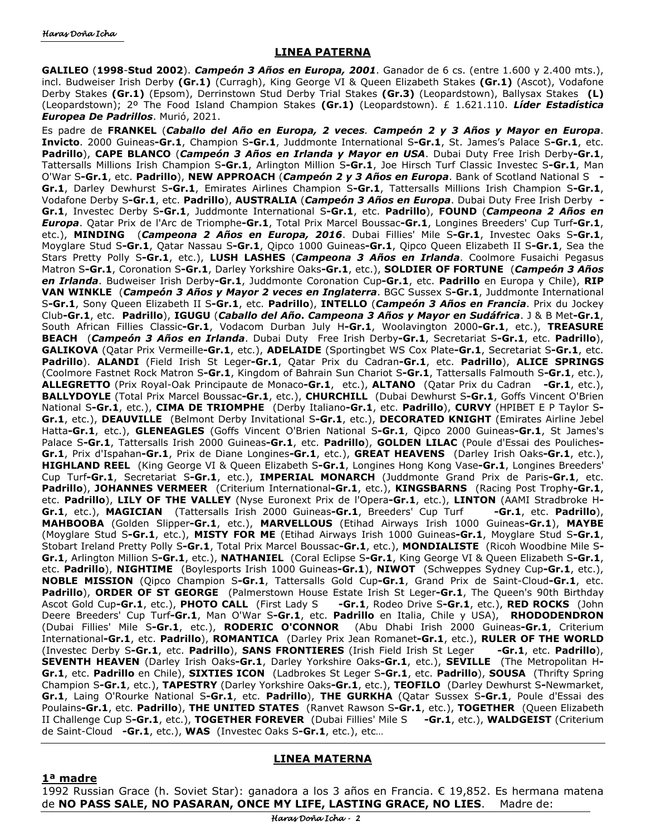#### **LINEA PATERNA**

**GALILEO** (**1998**-**Stud 2002**). *Campeón 3 Años en Europa, 2001*. Ganador de 6 cs. (entre 1.600 y 2.400 mts.), incl. Budweiser Irish Derby **(Gr.1)** (Curragh), King George VI & Queen Elizabeth Stakes **(Gr.1)** (Ascot), Vodafone Derby Stakes **(Gr.1)** (Epsom), Derrinstown Stud Derby Trial Stakes **(Gr.3)** (Leopardstown), Ballysax Stakes **(L)** (Leopardstown); 2º The Food Island Champion Stakes **(Gr.1)** (Leopardstown). £ 1.621.110. *Líder Estadística Europea De Padrillos*. Murió, 2021.

Es padre de **FRANKEL** (*Caballo del Año en Europa, 2 veces. Campeón 2 y 3 Años y Mayor en Europa*. **Invicto**. 2000 Guineas**-Gr.1**, Champion S**-Gr.1**, Juddmonte International S**-Gr.1**, St. James's Palace S**-Gr.1**, etc. **Padrillo**), **CAPE BLANCO** (*Campeón 3 Años en Irlanda y Mayor en USA*. Dubai Duty Free Irish Derby**-Gr.1**, Tattersalls Millions Irish Champion S**-Gr.1**, Arlington Million S**-Gr.1**, Joe Hirsch Turf Classic Investec S**-Gr.1**, Man O'War S**-Gr.1**, etc. **Padrillo**), **NEW APPROACH** (*Campeón 2 y 3 Años en Europa*. Bank of Scotland National S **- Gr.1**, Darley Dewhurst S**-Gr.1**, Emirates Airlines Champion S**-Gr.1**, Tattersalls Millions Irish Champion S**-Gr.1**, Vodafone Derby S**-Gr.1**, etc. **Padrillo**), **AUSTRALIA** (*Campeón 3 Años en Europa*. Dubai Duty Free Irish Derby **- Gr.1**, Investec Derby S**-Gr.1**, Juddmonte International S**-Gr.1**, etc. **Padrillo**), **FOUND** (*Campeona 2 Años en Europa*. Qatar Prix de l'Arc de Triomphe**-Gr.1**, Total Prix Marcel Boussac**-Gr.1**, Longines Breeders' Cup Turf**-Gr.1**, etc.), **MINDING** (*Campeona 2 Años en Europa, 2016*. Dubai Fillies' Mile S**-Gr.1**, Investec Oaks S**-Gr.1**, Moyglare Stud S**-Gr.1**, Qatar Nassau S**-Gr.1**, Qipco 1000 Guineas**-Gr.1**, Qipco Queen Elizabeth II S**-Gr.1**, Sea the Stars Pretty Polly S**-Gr.1**, etc.), **LUSH LASHES** (*Campeona 3 Años en Irlanda*. Coolmore Fusaichi Pegasus Matron S**-Gr.1**, Coronation S**-Gr.1**, Darley Yorkshire Oaks**-Gr.1**, etc.), **SOLDIER OF FORTUNE** (*Campeón 3 Años en Irlanda*. Budweiser Irish Derby**-Gr.1**, Juddmonte Coronation Cup**-Gr.1**, etc. **Padrillo** en Europa y Chile), **RIP VAN WINKLE** (*Campeón 3 Años y Mayor 2 veces en Inglaterra*. BGC Sussex S**-Gr.1**, Juddmonte International S**-Gr.1**, Sony Queen Elizabeth II S**-Gr.1**, etc. **Padrillo**), **INTELLO** (*Campeón 3 Años en Francia*. Prix du Jockey Club**-Gr.1**, etc. **Padrillo**), **IGUGU** (*Caballo del Año***.** *Campeona 3 Años y Mayor en Sudáfrica*. J & B Met**-Gr.1**, South African Fillies Classic**-Gr.1**, Vodacom Durban July H**-Gr.1**, Woolavington 2000**-Gr.1**, etc.), **TREASURE BEACH** (*Campeón 3 Años en Irlanda*. Dubai Duty Free Irish Derby**-Gr.1**, Secretariat S**-Gr.1**, etc. **Padrillo**), **GALIKOVA** (Qatar Prix Vermeille**-Gr.1**, etc.), **ADELAIDE** (Sportingbet WS Cox Plate**-Gr.1**, Secretariat S**-Gr.1**, etc. **Padrillo**). **ALANDI** (Field Irish St Leger**-Gr.1**, Qatar Prix du Cadran**-Gr.1**, etc. **Padrillo**), **ALICE SPRINGS**  (Coolmore Fastnet Rock Matron S**-Gr.1**, Kingdom of Bahrain Sun Chariot S**-Gr.1**, Tattersalls Falmouth S**-Gr.1**, etc.), **ALLEGRETTO** (Prix Royal-Oak Principaute de Monaco**-Gr.1**, etc.), **ALTANO** (Qatar Prix du Cadran **-Gr.1**, etc.), **BALLYDOYLE** (Total Prix Marcel Boussac**-Gr.1**, etc.), **CHURCHILL** (Dubai Dewhurst S**-Gr.1**, Goffs Vincent O'Brien National S**-Gr.1**, etc.), **CIMA DE TRIOMPHE** (Derby Italiano**-Gr.1**, etc. **Padrillo**), **CURVY** (HPIBET E P Taylor S**-Gr.1**, etc.), **DEAUVILLE** (Belmont Derby Invitational S**-Gr.1**, etc.), **DECORATED KNIGHT** (Emirates Airline Jebel Hatta**-Gr.1**, etc.), **GLENEAGLES** (Goffs Vincent O'Brien National S**-Gr.1**, Qipco 2000 Guineas**-Gr.1**, St James's Palace S**-Gr.1**, Tattersalls Irish 2000 Guineas**-Gr.1**, etc. **Padrillo**), **GOLDEN LILAC** (Poule d'Essai des Pouliches**-Gr.1**, Prix d'Ispahan**-Gr.1**, Prix de Diane Longines**-Gr.1**, etc.), **GREAT HEAVENS** (Darley Irish Oaks**-Gr.1**, etc.), **HIGHLAND REEL** (King George VI & Queen Elizabeth S**-Gr.1**, Longines Hong Kong Vase**-Gr.1**, Longines Breeders' Cup Turf**-Gr.1**, Secretariat S**-Gr.1**, etc.), **IMPERIAL MONARCH** (Juddmonte Grand Prix de Paris**-Gr.1**, etc. **Padrillo**), **JOHANNES VERMEER** (Criterium International**-Gr.1**, etc.), **KINGSBARNS** (Racing Post Trophy**-Gr.1**, etc. **Padrillo**), **LILY OF THE VALLEY** (Nyse Euronext Prix de l'Opera**-Gr.1**, etc.), **LINTON** (AAMI Stradbroke H**-Gr.1**, etc.), **MAGICIAN** (Tattersalls Irish 2000 Guineas**-Gr.1**, Breeders' Cup Turf **-Gr.1**, etc. **Padrillo**), **MAHBOOBA** (Golden Slipper**-Gr.1**, etc.), **MARVELLOUS** (Etihad Airways Irish 1000 Guineas**-Gr.1**), **MAYBE**  (Moyglare Stud S**-Gr.1**, etc.), **MISTY FOR ME** (Etihad Airways Irish 1000 Guineas**-Gr.1**, Moyglare Stud S**-Gr.1**, Stobart Ireland Pretty Polly S**-Gr.1**, Total Prix Marcel Boussac**-Gr.1**, etc.), **MONDIALISTE** (Ricoh Woodbine Mile S**-Gr.1**, Arlington Million S**-Gr.1**, etc.), **NATHANIEL** (Coral Eclipse S**-Gr.1**, King George VI & Queen Elizabeth S**-Gr.1**, etc. **Padrillo**), **NIGHTIME** (Boylesports Irish 1000 Guineas**-Gr.1**), **NIWOT** (Schweppes Sydney Cup**-Gr.1**, etc.), **NOBLE MISSION** (Qipco Champion S**-Gr.1**, Tattersalls Gold Cup**-Gr.1**, Grand Prix de Saint-Cloud**-Gr.1**, etc. **Padrillo**), **ORDER OF ST GEORGE** (Palmerstown House Estate Irish St Leger**-Gr.1**, The Queen's 90th Birthday Ascot Gold Cup**-Gr.1**, etc.), **PHOTO CALL** (First Lady S **-Gr.1**, Rodeo Drive S**-Gr.1**, etc.), **RED ROCKS** (John Deere Breeders' Cup Turf**-Gr.1**, Man O'War S**-Gr.1**, etc. **Padrillo** en Italia, Chile y USA), **RHODODENDRON**  (Dubai Fillies' Mile S**-Gr.1**, etc.), **RODERIC O'CONNOR** (Abu Dhabi Irish 2000 Guineas**-Gr.1**, Criterium International**-Gr.1**, etc. **Padrillo**), **ROMANTICA** (Darley Prix Jean Romanet**-Gr.1**, etc.), **RULER OF THE WORLD**  (Investec Derby S**-Gr.1**, etc. **Padrillo**), **SANS FRONTIERES** (Irish Field Irish St Leger **-Gr.1**, etc. **Padrillo**), **SEVENTH HEAVEN** (Darley Irish Oaks**-Gr.1**, Darley Yorkshire Oaks**-Gr.1**, etc.), **SEVILLE** (The Metropolitan H**-Gr.1**, etc. **Padrillo** en Chile), **SIXTIES ICON** (Ladbrokes St Leger S**-Gr.1**, etc. **Padrillo**), **SOUSA** (Thrifty Spring Champion S**-Gr.1**, etc.), **TAPESTRY** (Darley Yorkshire Oaks**-Gr.1**, etc.), **TEOFILO** (Darley Dewhurst S**-**Newmarket, **Gr.1**, Laing O'Rourke National S**-Gr.1**, etc. **Padrillo**), **THE GURKHA** (Qatar Sussex S**-Gr.1**, Poule d'Essai des Poulains**-Gr.1**, etc. **Padrillo**), **THE UNITED STATES** (Ranvet Rawson S**-Gr.1**, etc.), **TOGETHER** (Queen Elizabeth II Challenge Cup S**-Gr.1**, etc.), **TOGETHER FOREVER** (Dubai Fillies' Mile S **-Gr.1**, etc.), **WALDGEIST** (Criterium de Saint-Cloud **-Gr.1**, etc.), **WAS** (Investec Oaks S**-Gr.1**, etc.), etc…

#### **LINEA MATERNA**

**1ª madre**

1992 Russian Grace (h. Soviet Star): ganadora a los 3 años en Francia. € 19,852. Es hermana matena de **NO PASS SALE, NO PASARAN, ONCE MY LIFE, LASTING GRACE, NO LIES**. Madre de: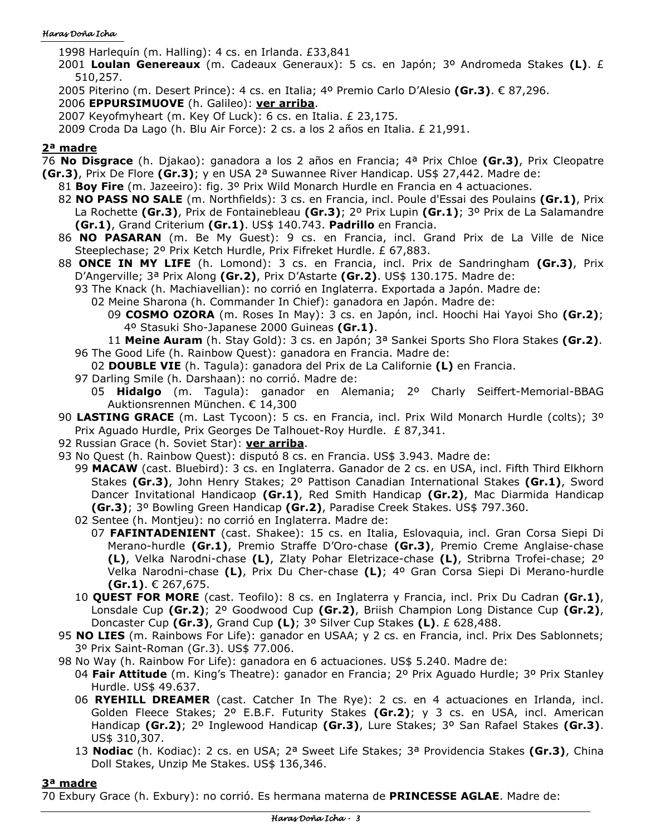#### Haras Doña Icha

1998 Harlequín (m. Halling): 4 cs. en Irlanda. £33,841

- 2001 **Loulan Genereaux** (m. Cadeaux Generaux): 5 cs. en Japón; 3º Andromeda Stakes **(L)**. £ 510,257.
- 2005 Piterino (m. Desert Prince): 4 cs. en Italia; 4º Premio Carlo D'Alesio **(Gr.3)**. € 87,296.

2006 **EPPURSIMUOVE** (h. Galileo): **ver arriba**.

2007 Keyofmyheart (m. Key Of Luck): 6 cs. en Italia. £ 23,175.

2009 Croda Da Lago (h. Blu Air Force): 2 cs. a los 2 años en Italia. £ 21,991.

#### **2ª madre**

76 **No Disgrace** (h. Djakao): ganadora a los 2 años en Francia; 4ª Prix Chloe **(Gr.3)**, Prix Cleopatre **(Gr.3)**, Prix De Flore **(Gr.3)**; y en USA 2ª Suwannee River Handicap. US\$ 27,442. Madre de:

- 81 **Boy Fire** (m. Jazeeiro): fig. 3º Prix Wild Monarch Hurdle en Francia en 4 actuaciones.
- 82 **NO PASS NO SALE** (m. Northfields): 3 cs. en Francia, incl. Poule d'Essai des Poulains **(Gr.1)**, Prix La Rochette **(Gr.3)**, Prix de Fontainebleau **(Gr.3)**; 2º Prix Lupin **(Gr.1)**; 3º Prix de La Salamandre **(Gr.1)**, Grand Criterium **(Gr.1)**. US\$ 140.743. **Padrillo** en Francia.
- 86 **NO PASARAN** (m. Be My Guest): 9 cs. en Francia, incl. Grand Prix de La Ville de Nice Steeplechase; 2º Prix Ketch Hurdle, Prix Fifreket Hurdle. £ 67,883.
- 88 **ONCE IN MY LIFE** (h. Lomond): 3 cs. en Francia, incl. Prix de Sandringham **(Gr.3)**, Prix D'Angerville; 3ª Prix Along **(Gr.2)**, Prix D'Astarte **(Gr.2)**. US\$ 130.175. Madre de:
	- 93 The Knack (h. Machiavellian): no corrió en Inglaterra. Exportada a Japón. Madre de:
		- 02 Meine Sharona (h. Commander In Chief): ganadora en Japón. Madre de:
			- 09 **COSMO OZORA** (m. Roses In May): 3 cs. en Japón, incl. Hoochi Hai Yayoi Sho **(Gr.2)**; 4º Stasuki Sho-Japanese 2000 Guineas **(Gr.1)**.
		- 11 **Meine Auram** (h. Stay Gold): 3 cs. en Japón; 3ª Sankei Sports Sho Flora Stakes **(Gr.2)**.
	- 96 The Good Life (h. Rainbow Quest): ganadora en Francia. Madre de:
	- 02 **DOUBLE VIE** (h. Tagula): ganadora del Prix de La Californie **(L)** en Francia.
	- 97 Darling Smile (h. Darshaan): no corrió. Madre de:
	- 05 **Hidalgo** (m. Tagula): ganador en Alemania; 2º Charly Seiffert-Memorial-BBAG Auktionsrennen München. € 14,300
- 90 **LASTING GRACE** (m. Last Tycoon): 5 cs. en Francia, incl. Prix Wild Monarch Hurdle (colts); 3º Prix Aguado Hurdle, Prix Georges De Talhouet-Roy Hurdle. £ 87,341.
- 92 Russian Grace (h. Soviet Star): **ver arriba**.
- 93 No Quest (h. Rainbow Quest): disputó 8 cs. en Francia. US\$ 3.943. Madre de:
	- 99 **MACAW** (cast. Bluebird): 3 cs. en Inglaterra. Ganador de 2 cs. en USA, incl. Fifth Third Elkhorn Stakes **(Gr.3)**, John Henry Stakes; 2º Pattison Canadian International Stakes **(Gr.1)**, Sword Dancer Invitational Handicaop **(Gr.1)**, Red Smith Handicap **(Gr.2)**, Mac Diarmida Handicap **(Gr.3)**; 3º Bowling Green Handicap **(Gr.2)**, Paradise Creek Stakes. US\$ 797.360.
	- 02 Sentee (h. Montjeu): no corrió en Inglaterra. Madre de:
		- 07 **FAFINTADENIENT** (cast. Shakee): 15 cs. en Italia, Eslovaquia, incl. Gran Corsa Siepi Di Merano-hurdle **(Gr.1)**, Premio Straffe D'Oro-chase **(Gr.3)**, Premio Creme Anglaise-chase **(L)**, Velka Narodni-chase **(L)**, Zlaty Pohar Eletrizace-chase **(L)**, Stribrna Trofei-chase; 2º Velka Narodni-chase **(L)**, Prix Du Cher-chase **(L)**; 4º Gran Corsa Siepi Di Merano-hurdle **(Gr.1)**. € 267,675.
	- 10 **QUEST FOR MORE** (cast. Teofilo): 8 cs. en Inglaterra y Francia, incl. Prix Du Cadran **(Gr.1)**, Lonsdale Cup **(Gr.2)**; 2º Goodwood Cup **(Gr.2)**, Briish Champion Long Distance Cup **(Gr.2)**, Doncaster Cup **(Gr.3)**, Grand Cup **(L)**; 3º Silver Cup Stakes **(L)**. £ 628,488.
- 95 **NO LIES** (m. Rainbows For Life): ganador en USAA; y 2 cs. en Francia, incl. Prix Des Sablonnets; 3º Prix Saint-Roman (Gr.3). US\$ 77.006.
- 98 No Way (h. Rainbow For Life): ganadora en 6 actuaciones. US\$ 5.240. Madre de:
	- 04 **Fair Attitude** (m. King's Theatre): ganador en Francia; 2º Prix Aguado Hurdle; 3º Prix Stanley Hurdle. US\$ 49.637.
	- 06 **RYEHILL DREAMER** (cast. Catcher In The Rye): 2 cs. en 4 actuaciones en Irlanda, incl. Golden Fleece Stakes; 2º E.B.F. Futurity Stakes **(Gr.2)**; y 3 cs. en USA, incl. American Handicap **(Gr.2)**; 2º Inglewood Handicap **(Gr.3)**, Lure Stakes; 3º San Rafael Stakes **(Gr.3)**. US\$ 310,307.
	- 13 **Nodiac** (h. Kodiac): 2 cs. en USA; 2ª Sweet Life Stakes; 3ª Providencia Stakes **(Gr.3)**, China Doll Stakes, Unzip Me Stakes. US\$ 136,346.

## **3ª madre**

70 Exbury Grace (h. Exbury): no corrió. Es hermana materna de **PRINCESSE AGLAE**. Madre de: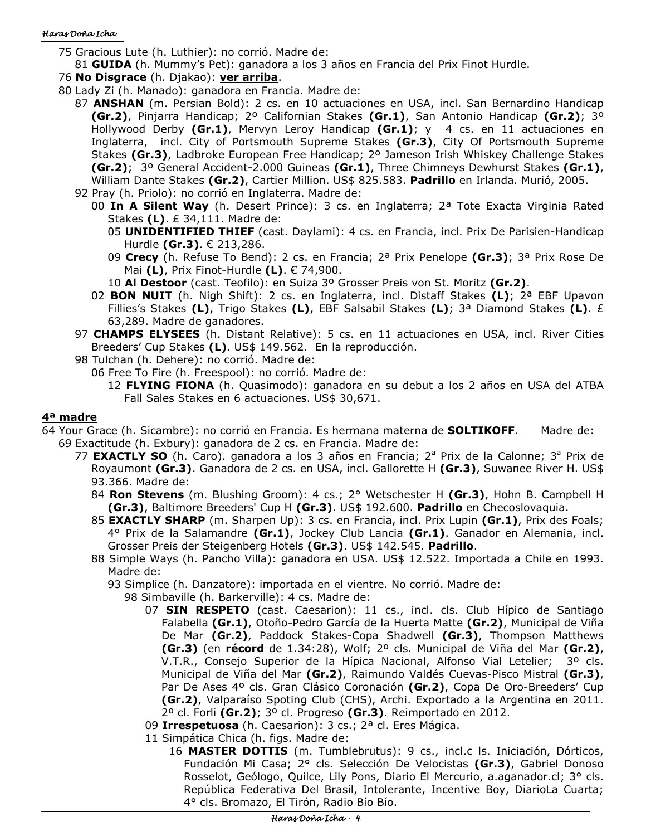#### Haras Doña Icha

- 75 Gracious Lute (h. Luthier): no corrió. Madre de:
	- 81 **GUIDA** (h. Mummy's Pet): ganadora a los 3 años en Francia del Prix Finot Hurdle.
- 76 **No Disgrace** (h. Djakao): **ver arriba**.
- 80 Lady Zi (h. Manado): ganadora en Francia. Madre de:
	- 87 **ANSHAN** (m. Persian Bold): 2 cs. en 10 actuaciones en USA, incl. San Bernardino Handicap **(Gr.2)**, Pinjarra Handicap; 2º Californian Stakes **(Gr.1)**, San Antonio Handicap **(Gr.2)**; 3º Hollywood Derby **(Gr.1)**, Mervyn Leroy Handicap **(Gr.1)**; y 4 cs. en 11 actuaciones en Inglaterra, incl. City of Portsmouth Supreme Stakes **(Gr.3)**, City Of Portsmouth Supreme Stakes **(Gr.3)**, Ladbroke European Free Handicap; 2º Jameson Irish Whiskey Challenge Stakes **(Gr.2)**; 3º General Accident-2.000 Guineas **(Gr.1)**, Three Chimneys Dewhurst Stakes **(Gr.1)**, William Dante Stakes **(Gr.2)**, Cartier Million. US\$ 825.583. **Padrillo** en Irlanda. Murió, 2005. 92 Pray (h. Priolo): no corrió en Inglaterra. Madre de:
		- 00 **In A Silent Way** (h. Desert Prince): 3 cs. en Inglaterra; 2ª Tote Exacta Virginia Rated Stakes **(L)**. £ 34,111. Madre de:
			- 05 **UNIDENTIFIED THIEF** (cast. Daylami): 4 cs. en Francia, incl. Prix De Parisien-Handicap Hurdle **(Gr.3)**. € 213,286.
			- 09 **Crecy** (h. Refuse To Bend): 2 cs. en Francia; 2ª Prix Penelope **(Gr.3)**; 3ª Prix Rose De Mai **(L)**, Prix Finot-Hurdle **(L)**. € 74,900.
			- 10 **Al Destoor** (cast. Teofilo): en Suiza 3º Grosser Preis von St. Moritz **(Gr.2)**.
		- 02 **BON NUIT** (h. Nigh Shift): 2 cs. en Inglaterra, incl. Distaff Stakes **(L)**; 2ª EBF Upavon Fillies's Stakes **(L)**, Trigo Stakes **(L)**, EBF Salsabil Stakes **(L)**; 3ª Diamond Stakes **(L)**. £ 63,289. Madre de ganadores.
	- 97 **CHAMPS ELYSEES** (h. Distant Relative): 5 cs. en 11 actuaciones en USA, incl. River Cities Breeders' Cup Stakes **(L)**. US\$ 149.562. En la reproducción.
	- 98 Tulchan (h. Dehere): no corrió. Madre de:
		- 06 Free To Fire (h. Freespool): no corrió. Madre de:
			- 12 **FLYING FIONA** (h. Quasimodo): ganadora en su debut a los 2 años en USA del ATBA Fall Sales Stakes en 6 actuaciones. US\$ 30,671.

#### **4ª madre**

- 64 Your Grace (h. Sicambre): no corrió en Francia. Es hermana materna de **SOLTIKOFF**. Madre de: 69 Exactitude (h. Exbury): ganadora de 2 cs. en Francia. Madre de:
	- 77 **EXACTLY SO** (h. Caro). ganadora a los 3 años en Francia; 2<sup>a</sup> Prix de la Calonne; 3<sup>a</sup> Prix de Royaumont **(Gr.3)**. Ganadora de 2 cs. en USA, incl. Gallorette H **(Gr.3)**, Suwanee River H. US\$ 93.366. Madre de:
		- 84 **Ron Stevens** (m. Blushing Groom): 4 cs.; 2° Wetschester H **(Gr.3)**, Hohn B. Campbell H **(Gr.3)**, Baltimore Breeders' Cup H **(Gr.3)**. US\$ 192.600. **Padrillo** en Checoslovaquia.
		- 85 **EXACTLY SHARP** (m. Sharpen Up): 3 cs. en Francia, incl. Prix Lupin **(Gr.1)**, Prix des Foals; 4° Prix de la Salamandre **(Gr.1)**, Jockey Club Lancia **(Gr.1)**. Ganador en Alemania, incl. Grosser Preis der Steigenberg Hotels **(Gr.3)**. US\$ 142.545. **Padrillo**.
		- 88 Simple Ways (h. Pancho Villa): ganadora en USA. US\$ 12.522. Importada a Chile en 1993. Madre de:
			- 93 Simplice (h. Danzatore): importada en el vientre. No corrió. Madre de:
				- 98 Simbaville (h. Barkerville): 4 cs. Madre de:
					- 07 **SIN RESPETO** (cast. Caesarion): 11 cs., incl. cls. Club Hípico de Santiago Falabella **(Gr.1)**, Otoño-Pedro García de la Huerta Matte **(Gr.2)**, Municipal de Viña De Mar **(Gr.2)**, Paddock Stakes-Copa Shadwell **(Gr.3)**, Thompson Matthews **(Gr.3)** (en **récord** de 1.34:28), Wolf; 2º cls. Municipal de Viña del Mar **(Gr.2)**, V.T.R., Consejo Superior de la Hípica Nacional, Alfonso Vial Letelier; 3º cls. Municipal de Viña del Mar **(Gr.2)**, Raimundo Valdés Cuevas-Pisco Mistral **(Gr.3)**, Par De Ases 4º cls. Gran Clásico Coronación **(Gr.2)**, Copa De Oro-Breeders' Cup **(Gr.2)**, Valparaíso Spoting Club (CHS), Archi. Exportado a la Argentina en 2011. 2º cl. Forli **(Gr.2)**; 3º cl. Progreso **(Gr.3)**. Reimportado en 2012.
					- 09 **Irrespetuosa** (h. Caesarion): 3 cs.; 2ª cl. Eres Mágica.
					- 11 Simpática Chica (h. figs. Madre de:
						- 16 **MASTER DOTTIS** (m. Tumblebrutus): 9 cs., incl.c ls. Iniciación, Dórticos, Fundación Mi Casa; 2° cls. Selección De Velocistas **(Gr.3)**, Gabriel Donoso Rosselot, Geólogo, Quilce, Lily Pons, Diario El Mercurio, a.aganador.cl; 3° cls. República Federativa Del Brasil, Intolerante, Incentive Boy, DiarioLa Cuarta; 4° cls. Bromazo, El Tirón, Radio Bío Bío.